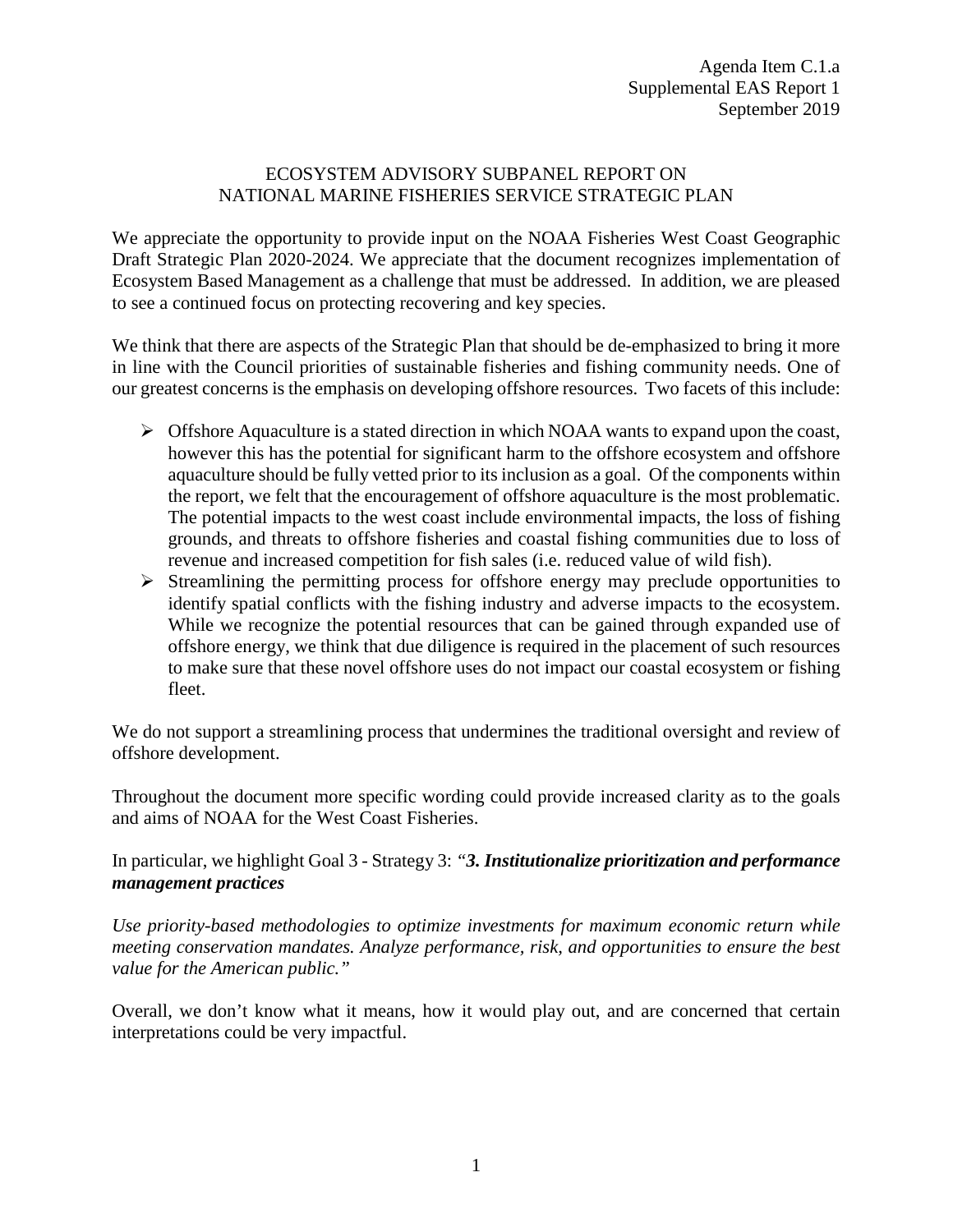## ECOSYSTEM ADVISORY SUBPANEL REPORT ON NATIONAL MARINE FISHERIES SERVICE STRATEGIC PLAN

We appreciate the opportunity to provide input on the NOAA Fisheries West Coast Geographic Draft Strategic Plan 2020-2024. We appreciate that the document recognizes implementation of Ecosystem Based Management as a challenge that must be addressed. In addition, we are pleased to see a continued focus on protecting recovering and key species.

We think that there are aspects of the Strategic Plan that should be de-emphasized to bring it more in line with the Council priorities of sustainable fisheries and fishing community needs. One of our greatest concerns is the emphasis on developing offshore resources. Two facets of this include:

- $\triangleright$  Offshore Aquaculture is a stated direction in which NOAA wants to expand upon the coast, however this has the potential for significant harm to the offshore ecosystem and offshore aquaculture should be fully vetted prior to its inclusion as a goal. Of the components within the report, we felt that the encouragement of offshore aquaculture is the most problematic. The potential impacts to the west coast include environmental impacts, the loss of fishing grounds, and threats to offshore fisheries and coastal fishing communities due to loss of revenue and increased competition for fish sales (i.e. reduced value of wild fish).
- $\triangleright$  Streamlining the permitting process for offshore energy may preclude opportunities to identify spatial conflicts with the fishing industry and adverse impacts to the ecosystem. While we recognize the potential resources that can be gained through expanded use of offshore energy, we think that due diligence is required in the placement of such resources to make sure that these novel offshore uses do not impact our coastal ecosystem or fishing fleet.

We do not support a streamlining process that undermines the traditional oversight and review of offshore development.

Throughout the document more specific wording could provide increased clarity as to the goals and aims of NOAA for the West Coast Fisheries.

## In particular, we highlight Goal 3 - Strategy 3: *"3. Institutionalize prioritization and performance management practices*

*Use priority-based methodologies to optimize investments for maximum economic return while meeting conservation mandates. Analyze performance, risk, and opportunities to ensure the best value for the American public."*

Overall, we don't know what it means, how it would play out, and are concerned that certain interpretations could be very impactful.